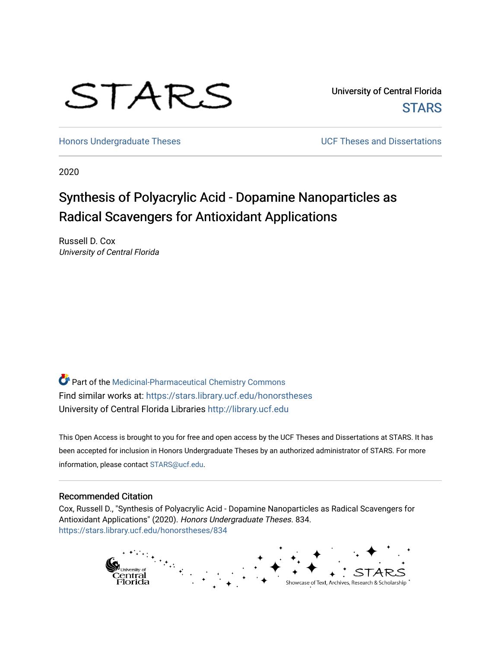

University of Central Florida **STARS** 

[Honors Undergraduate Theses](https://stars.library.ucf.edu/honorstheses) **No. 2018** UCF Theses and Dissertations

2020

# Synthesis of Polyacrylic Acid - Dopamine Nanoparticles as Radical Scavengers for Antioxidant Applications

Russell D. Cox University of Central Florida

Part of the [Medicinal-Pharmaceutical Chemistry Commons](http://network.bepress.com/hgg/discipline/136?utm_source=stars.library.ucf.edu%2Fhonorstheses%2F834&utm_medium=PDF&utm_campaign=PDFCoverPages)  Find similar works at: <https://stars.library.ucf.edu/honorstheses> University of Central Florida Libraries [http://library.ucf.edu](http://library.ucf.edu/) 

This Open Access is brought to you for free and open access by the UCF Theses and Dissertations at STARS. It has been accepted for inclusion in Honors Undergraduate Theses by an authorized administrator of STARS. For more information, please contact [STARS@ucf.edu.](mailto:STARS@ucf.edu)

### Recommended Citation

Cox, Russell D., "Synthesis of Polyacrylic Acid - Dopamine Nanoparticles as Radical Scavengers for Antioxidant Applications" (2020). Honors Undergraduate Theses. 834. [https://stars.library.ucf.edu/honorstheses/834](https://stars.library.ucf.edu/honorstheses/834?utm_source=stars.library.ucf.edu%2Fhonorstheses%2F834&utm_medium=PDF&utm_campaign=PDFCoverPages) 

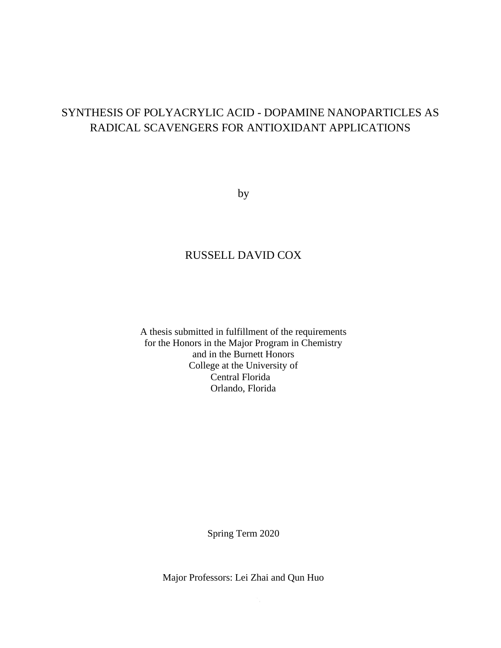## SYNTHESIS OF POLYACRYLIC ACID - DOPAMINE NANOPARTICLES AS RADICAL SCAVENGERS FOR ANTIOXIDANT APPLICATIONS

by

## RUSSELL DAVID COX

A thesis submitted in fulfillment of the requirements for the Honors in the Major Program in Chemistry and in the Burnett Honors College at the University of Central Florida Orlando, Florida

Spring Term 2020

Major Professors: Lei Zhai and Qun Huo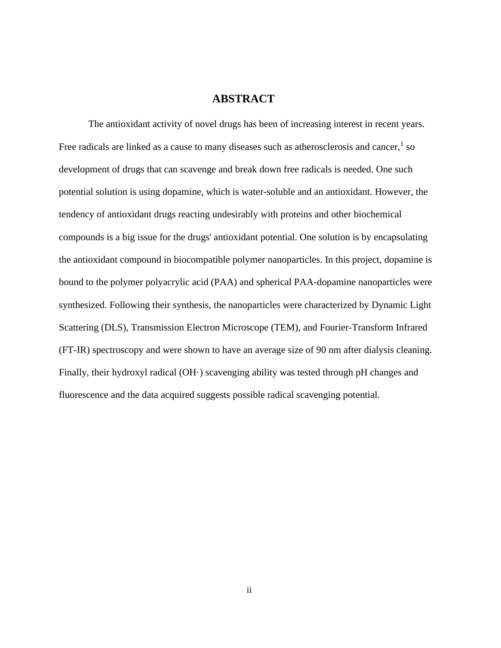### **ABSTRACT**

The antioxidant activity of novel drugs has been of increasing interest in recent years. Free radicals are linked as a cause to many diseases such as atherosclerosis and cancer,  $1$  so development of drugs that can scavenge and break down free radicals is needed. One such potential solution is using dopamine, which is water-soluble and an antioxidant. However, the tendency of antioxidant drugs reacting undesirably with proteins and other biochemical compounds is a big issue for the drugs' antioxidant potential. One solution is by encapsulating the antioxidant compound in biocompatible polymer nanoparticles. In this project, dopamine is bound to the polymer polyacrylic acid (PAA) and spherical PAA-dopamine nanoparticles were synthesized. Following their synthesis, the nanoparticles were characterized by Dynamic Light Scattering (DLS), Transmission Electron Microscope (TEM), and Fourier-Transform Infrared (FT-IR) spectroscopy and were shown to have an average size of 90 nm after dialysis cleaning. Finally, their hydroxyl radical (OH·) scavenging ability was tested through pH changes and fluorescence and the data acquired suggests possible radical scavenging potential.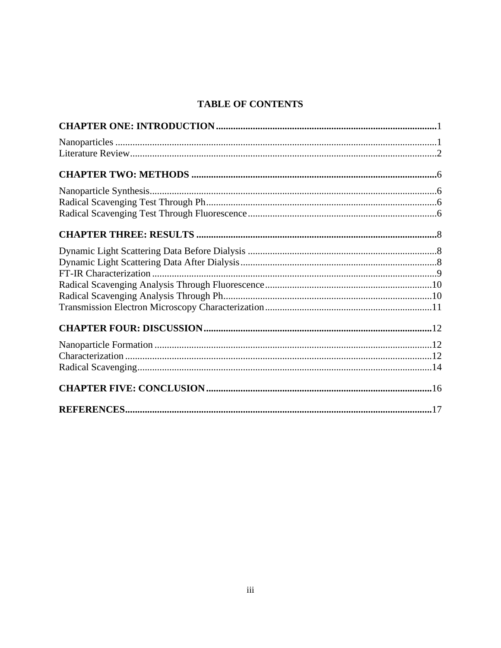## **TABLE OF CONTENTS**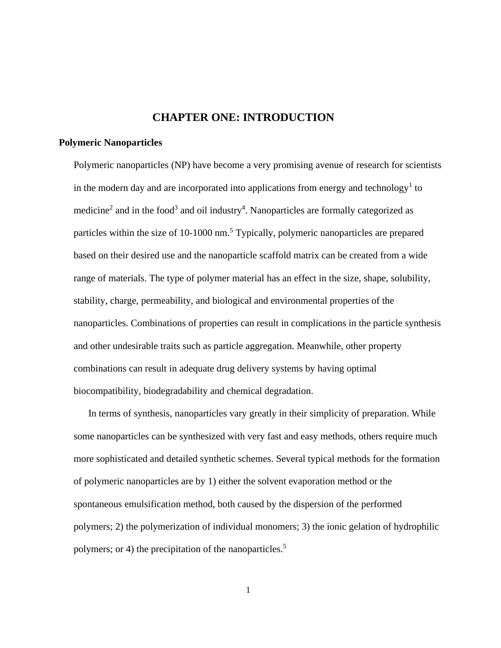### **CHAPTER ONE: INTRODUCTION**

### <span id="page-4-0"></span>**Polymeric Nanoparticles**

Polymeric nanoparticles (NP) have become a very promising avenue of research for scientists in the modern day and are incorporated into applications from energy and technology<sup>1</sup> to medicine<sup>2</sup> and in the food<sup>3</sup> and oil industry<sup>4</sup>. Nanoparticles are formally categorized as particles within the size of 10-1000 nm.<sup>5</sup> Typically, polymeric nanoparticles are prepared based on their desired use and the nanoparticle scaffold matrix can be created from a wide range of materials. The type of polymer material has an effect in the size, shape, solubility, stability, charge, permeability, and biological and environmental properties of the nanoparticles. Combinations of properties can result in complications in the particle synthesis and other undesirable traits such as particle aggregation. Meanwhile, other property combinations can result in adequate drug delivery systems by having optimal biocompatibility, biodegradability and chemical degradation.

In terms of synthesis, nanoparticles vary greatly in their simplicity of preparation. While some nanoparticles can be synthesized with very fast and easy methods, others require much more sophisticated and detailed synthetic schemes. Several typical methods for the formation of polymeric nanoparticles are by 1) either the solvent evaporation method or the spontaneous emulsification method, both caused by the dispersion of the performed polymers; 2) the polymerization of individual monomers; 3) the ionic gelation of hydrophilic polymers; or 4) the precipitation of the nanoparticles.<sup>5</sup>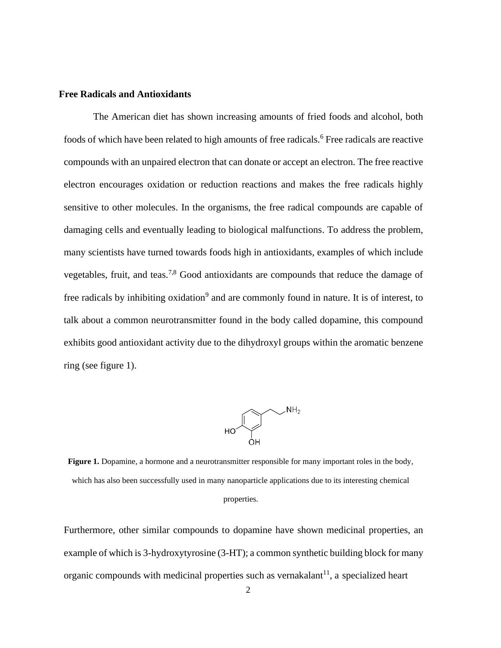### **Free Radicals and Antioxidants**

The American diet has shown increasing amounts of fried foods and alcohol, both foods of which have been related to high amounts of free radicals.<sup>6</sup> Free radicals are reactive compounds with an unpaired electron that can donate or accept an electron. The free reactive electron encourages oxidation or reduction reactions and makes the free radicals highly sensitive to other molecules. In the organisms, the free radical compounds are capable of damaging cells and eventually leading to biological malfunctions. To address the problem, many scientists have turned towards foods high in antioxidants, examples of which include vegetables, fruit, and teas.7,8 Good antioxidants are compounds that reduce the damage of free radicals by inhibiting oxidation<sup>9</sup> and are commonly found in nature. It is of interest, to talk about a common neurotransmitter found in the body called dopamine, this compound exhibits good antioxidant activity due to the dihydroxyl groups within the aromatic benzene ring (see figure 1).



**Figure 1.** Dopamine, a hormone and a neurotransmitter responsible for many important roles in the body, which has also been successfully used in many nanoparticle applications due to its interesting chemical properties.

Furthermore, other similar compounds to dopamine have shown medicinal properties, an example of which is 3-hydroxytyrosine (3-HT); a common synthetic building block for many organic compounds with medicinal properties such as vernakalant<sup>11</sup>, a specialized heart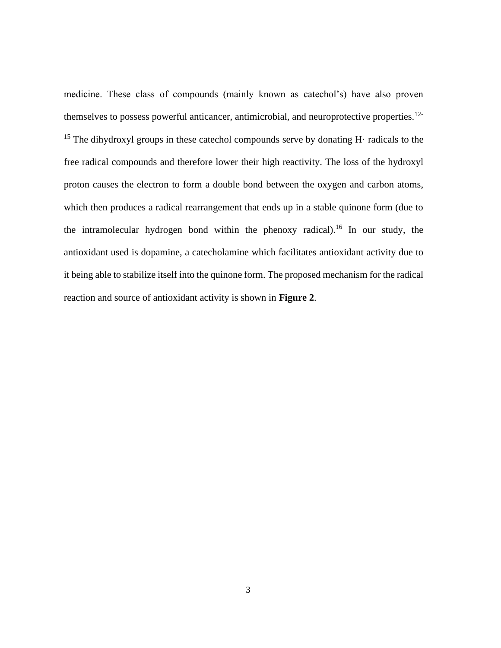medicine. These class of compounds (mainly known as catechol's) have also proven themselves to possess powerful anticancer, antimicrobial, and neuroprotective properties.<sup>12-</sup> <sup>15</sup> The dihydroxyl groups in these cates bol compounds serve by donating H $\cdot$  radicals to the free radical compounds and therefore lower their high reactivity. The loss of the hydroxyl proton causes the electron to form a double bond between the oxygen and carbon atoms, which then produces a radical rearrangement that ends up in a stable quinone form (due to the intramolecular hydrogen bond within the phenoxy radical).<sup>16</sup> In our study, the antioxidant used is dopamine, a catecholamine which facilitates antioxidant activity due to it being able to stabilize itself into the quinone form. The proposed mechanism for the radical reaction and source of antioxidant activity is shown in **Figure 2**.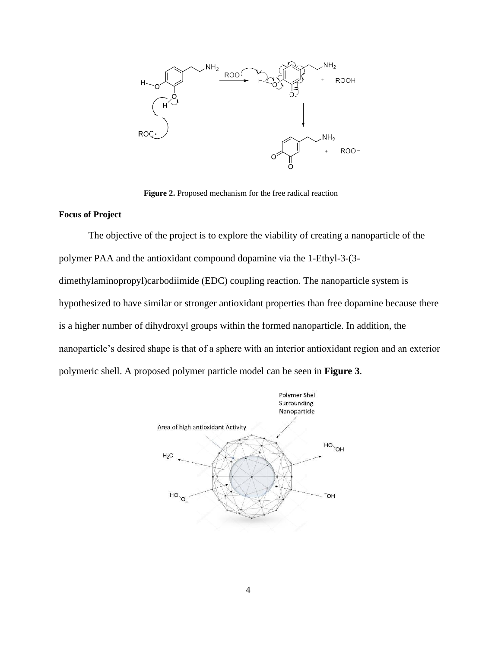

**Figure 2.** Proposed mechanism for the free radical reaction

### **Focus of Project**

The objective of the project is to explore the viability of creating a nanoparticle of the polymer PAA and the antioxidant compound dopamine via the 1-Ethyl-3-(3 dimethylaminopropyl)carbodiimide (EDC) coupling reaction. The nanoparticle system is hypothesized to have similar or stronger antioxidant properties than free dopamine because there is a higher number of dihydroxyl groups within the formed nanoparticle. In addition, the nanoparticle's desired shape is that of a sphere with an interior antioxidant region and an exterior polymeric shell. A proposed polymer particle model can be seen in **Figure 3**.

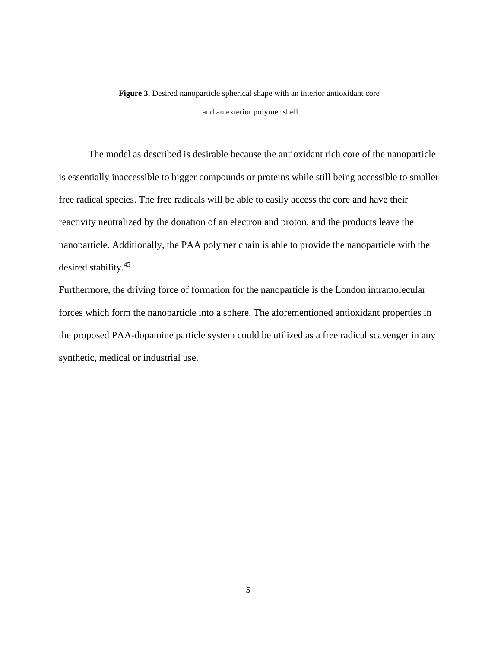**Figure 3.** Desired nanoparticle spherical shape with an interior antioxidant core and an exterior polymer shell.

The model as described is desirable because the antioxidant rich core of the nanoparticle is essentially inaccessible to bigger compounds or proteins while still being accessible to smaller free radical species. The free radicals will be able to easily access the core and have their reactivity neutralized by the donation of an electron and proton, and the products leave the nanoparticle. Additionally, the PAA polymer chain is able to provide the nanoparticle with the desired stability.<sup>45</sup>

Furthermore, the driving force of formation for the nanoparticle is the London intramolecular forces which form the nanoparticle into a sphere. The aforementioned antioxidant properties in the proposed PAA-dopamine particle system could be utilized as a free radical scavenger in any synthetic, medical or industrial use.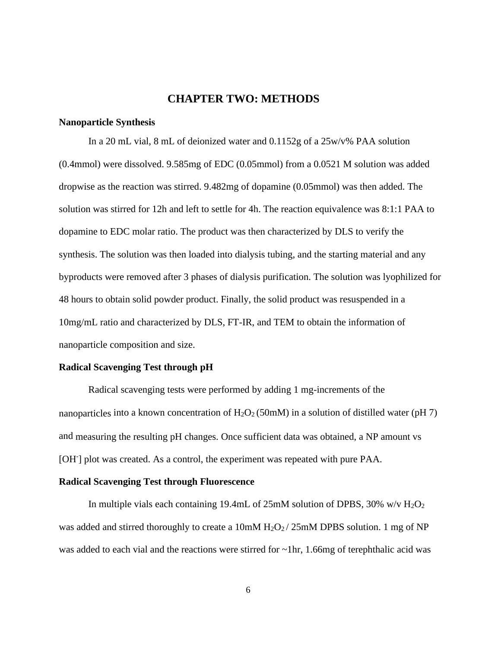### **CHAPTER TWO: METHODS**

### <span id="page-9-1"></span><span id="page-9-0"></span>**Nanoparticle Synthesis**

In a 20 mL vial, 8 mL of deionized water and 0.1152g of a 25w/v% PAA solution (0.4mmol) were dissolved. 9.585mg of EDC (0.05mmol) from a 0.0521 M solution was added dropwise as the reaction was stirred. 9.482mg of dopamine (0.05mmol) was then added. The solution was stirred for 12h and left to settle for 4h. The reaction equivalence was 8:1:1 PAA to dopamine to EDC molar ratio. The product was then characterized by DLS to verify the synthesis. The solution was then loaded into dialysis tubing, and the starting material and any byproducts were removed after 3 phases of dialysis purification. The solution was lyophilized for 48 hours to obtain solid powder product. Finally, the solid product was resuspended in a 10mg/mL ratio and characterized by DLS, FT-IR, and TEM to obtain the information of nanoparticle composition and size.

#### <span id="page-9-2"></span>**Radical Scavenging Test through pH**

Radical scavenging tests were performed by adding 1 mg-increments of the nanoparticles into a known concentration of  $H_2O_2(50 \text{mM})$  in a solution of distilled water (pH 7) and measuring the resulting pH changes. Once sufficient data was obtained, a NP amount vs [OH<sup>-</sup>] plot was created. As a control, the experiment was repeated with pure PAA.

### <span id="page-9-3"></span>**Radical Scavenging Test through Fluorescence**

In multiple vials each containing 19.4mL of 25mM solution of DPBS, 30% w/v  $H_2O_2$ was added and stirred thoroughly to create a 10mM  $H_2O_2/25$ mM DPBS solution. 1 mg of NP was added to each vial and the reactions were stirred for ~1hr, 1.66mg of terephthalic acid was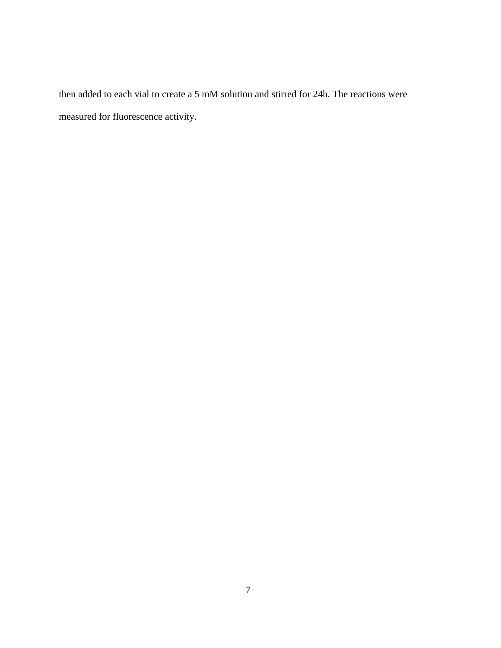then added to each vial to create a 5 mM solution and stirred for 24h. The reactions were measured for fluorescence activity.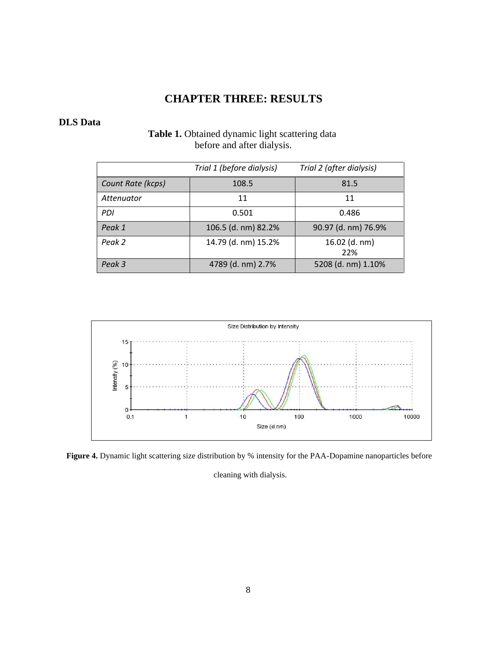## **CHAPTER THREE: RESULTS**

### <span id="page-11-0"></span>**DLS Data**

## Table 1. Obtained dynamic light scattering data before and after dialysis.

|                   | Trial 1 (before dialysis) | Trial 2 (after dialysis) |
|-------------------|---------------------------|--------------------------|
| Count Rate (kcps) | 108.5                     | 81.5                     |
| Attenuator        | 11                        | 11                       |
| PDI               | 0.501                     | 0.486                    |
| Peak 1            | 106.5 (d. nm) 82.2%       | 90.97 (d. nm) 76.9%      |
| Peak 2            | 14.79 (d. nm) 15.2%       | 16.02 (d. nm)<br>22%     |
| Peak 3            | 4789 (d. nm) 2.7%         | 5208 (d. nm) 1.10%       |



**Figure 4.** Dynamic light scattering size distribution by % intensity for the PAA-Dopamine nanoparticles before

cleaning with dialysis.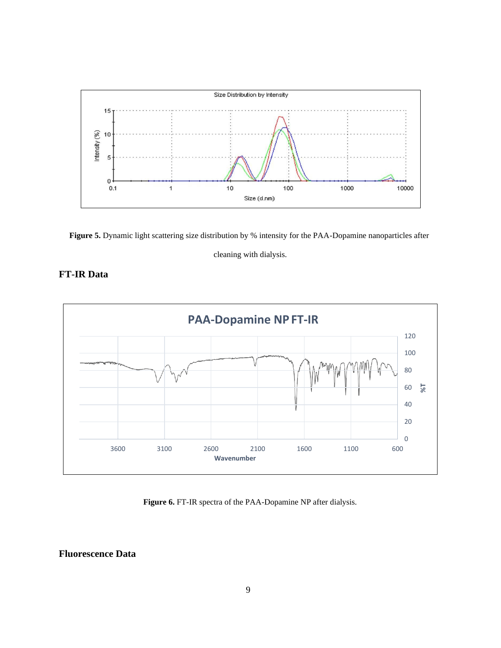

Figure 5. Dynamic light scattering size distribution by % intensity for the PAA-Dopamine nanoparticles after

cleaning with dialysis.

### **FT-IR Data**



**Figure 6.** FT-IR spectra of the PAA-Dopamine NP after dialysis.

**Fluorescence Data**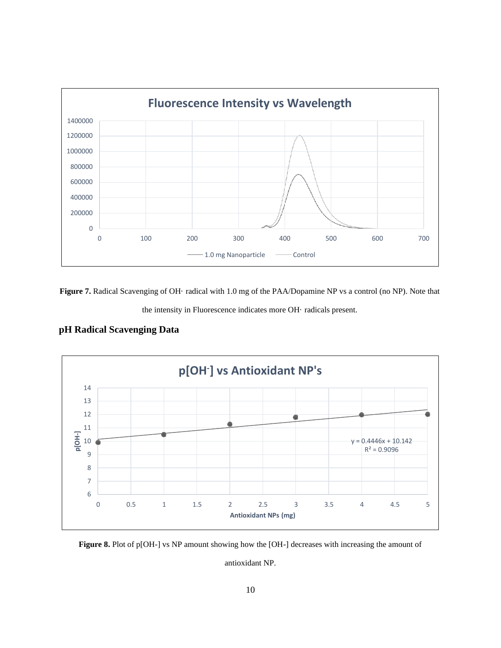

**Figure 7.** Radical Scavenging of OH· radical with 1.0 mg of the PAA/Dopamine NP vs a control (no NP). Note that



### **pH Radical Scavenging Data**



**Figure 8.** Plot of p[OH-] vs NP amount showing how the [OH-] decreases with increasing the amount of

antioxidant NP.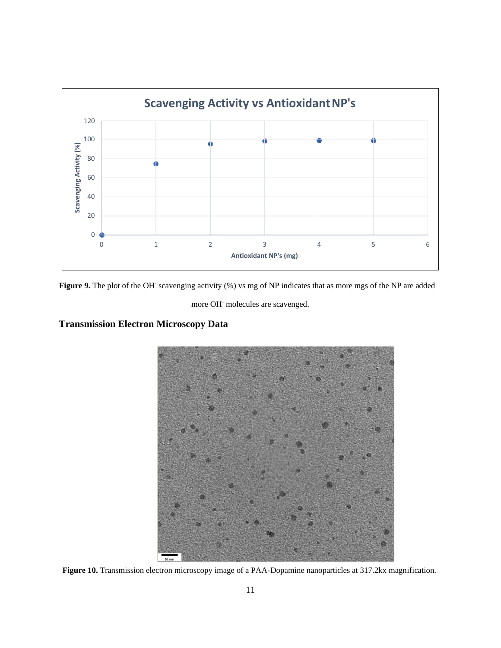

Figure 9. The plot of the OH<sup>-</sup> scavenging activity (%) vs mg of NP indicates that as more mgs of the NP are added

more OH- molecules are scavenged.

## **Transmission Electron Microscopy Data**



Figure 10. Transmission electron microscopy image of a PAA-Dopamine nanoparticles at 317.2kx magnification.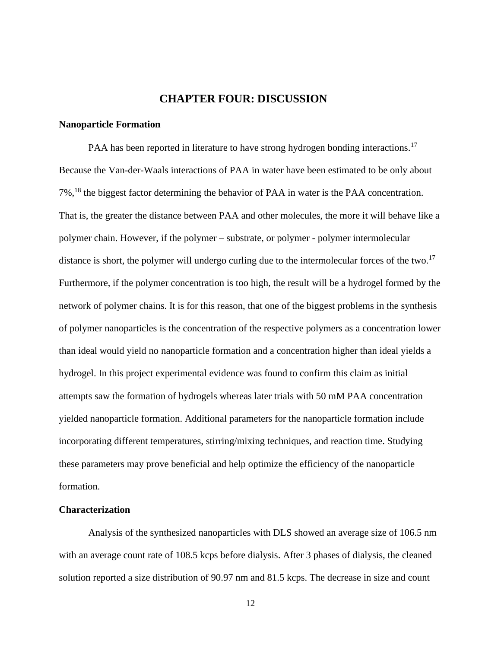### **CHAPTER FOUR: DISCUSSION**

### <span id="page-15-1"></span><span id="page-15-0"></span>**Nanoparticle Formation**

PAA has been reported in literature to have strong hydrogen bonding interactions.<sup>17</sup> Because the Van-der-Waals interactions of PAA in water have been estimated to be only about 7%,<sup>18</sup> the biggest factor determining the behavior of PAA in water is the PAA concentration. That is, the greater the distance between PAA and other molecules, the more it will behave like a polymer chain. However, if the polymer – substrate, or polymer - polymer intermolecular distance is short, the polymer will undergo curling due to the intermolecular forces of the two.<sup>17</sup> Furthermore, if the polymer concentration is too high, the result will be a hydrogel formed by the network of polymer chains. It is for this reason, that one of the biggest problems in the synthesis of polymer nanoparticles is the concentration of the respective polymers as a concentration lower than ideal would yield no nanoparticle formation and a concentration higher than ideal yields a hydrogel. In this project experimental evidence was found to confirm this claim as initial attempts saw the formation of hydrogels whereas later trials with 50 mM PAA concentration yielded nanoparticle formation. Additional parameters for the nanoparticle formation include incorporating different temperatures, stirring/mixing techniques, and reaction time. Studying these parameters may prove beneficial and help optimize the efficiency of the nanoparticle formation.

### <span id="page-15-2"></span>**Characterization**

Analysis of the synthesized nanoparticles with DLS showed an average size of 106.5 nm with an average count rate of 108.5 kcps before dialysis. After 3 phases of dialysis, the cleaned solution reported a size distribution of 90.97 nm and 81.5 kcps. The decrease in size and count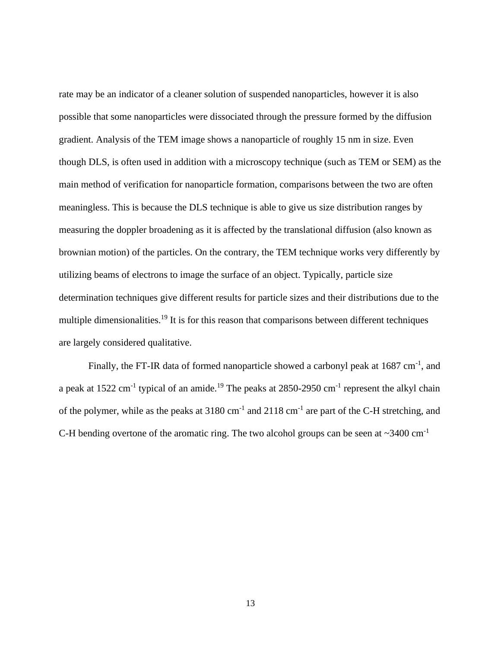rate may be an indicator of a cleaner solution of suspended nanoparticles, however it is also possible that some nanoparticles were dissociated through the pressure formed by the diffusion gradient. Analysis of the TEM image shows a nanoparticle of roughly 15 nm in size. Even though DLS, is often used in addition with a microscopy technique (such as TEM or SEM) as the main method of verification for nanoparticle formation, comparisons between the two are often meaningless. This is because the DLS technique is able to give us size distribution ranges by measuring the doppler broadening as it is affected by the translational diffusion (also known as brownian motion) of the particles. On the contrary, the TEM technique works very differently by utilizing beams of electrons to image the surface of an object. Typically, particle size determination techniques give different results for particle sizes and their distributions due to the multiple dimensionalities.<sup>19</sup> It is for this reason that comparisons between different techniques are largely considered qualitative.

Finally, the FT-IR data of formed nanoparticle showed a carbonyl peak at  $1687 \text{ cm}^{-1}$ , and a peak at 1522 cm<sup>-1</sup> typical of an amide.<sup>19</sup> The peaks at 2850-2950 cm<sup>-1</sup> represent the alkyl chain of the polymer, while as the peaks at  $3180 \text{ cm}^{-1}$  and  $2118 \text{ cm}^{-1}$  are part of the C-H stretching, and C-H bending overtone of the aromatic ring. The two alcohol groups can be seen at  $\sim$ 3400 cm<sup>-1</sup>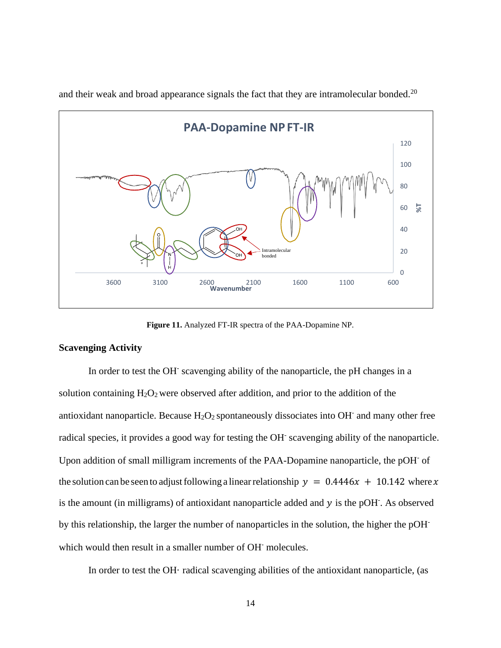

and their weak and broad appearance signals the fact that they are intramolecular bonded.<sup>20</sup>

**Figure 11.** Analyzed FT-IR spectra of the PAA-Dopamine NP.

### **Scavenging Activity**

In order to test the OH<sup>-</sup> scavenging ability of the nanoparticle, the pH changes in a solution containing  $H_2O_2$  were observed after addition, and prior to the addition of the antioxidant nanoparticle. Because  $H_2O_2$  spontaneously dissociates into OH and many other free radical species, it provides a good way for testing the OH<sup>-</sup> scavenging ability of the nanoparticle. Upon addition of small milligram increments of the PAA-Dopamine nanoparticle, the pOH of the solution can be seen to adjust following a linear relationship  $y = 0.4446x + 10.142$  where x is the amount (in milligrams) of antioxidant nanoparticle added and  $y$  is the pOH. As observed by this relationship, the larger the number of nanoparticles in the solution, the higher the pOHwhich would then result in a smaller number of OH<sup>-</sup> molecules.

In order to test the OH· radical scavenging abilities of the antioxidant nanoparticle, (as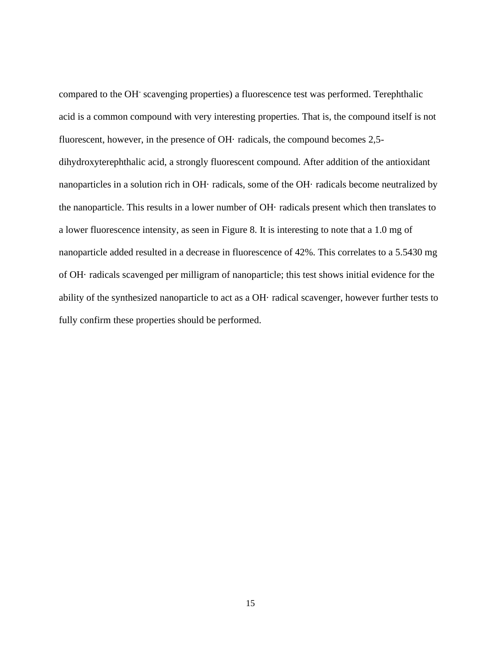compared to the OH-scavenging properties) a fluorescence test was performed. Terephthalic acid is a common compound with very interesting properties. That is, the compound itself is not fluorescent, however, in the presence of OH· radicals, the compound becomes 2,5 dihydroxyterephthalic acid, a strongly fluorescent compound. After addition of the antioxidant nanoparticles in a solution rich in OH· radicals, some of the OH· radicals become neutralized by the nanoparticle. This results in a lower number of OH· radicals present which then translates to a lower fluorescence intensity, as seen in Figure 8. It is interesting to note that a 1.0 mg of nanoparticle added resulted in a decrease in fluorescence of 42%. This correlates to a 5.5430 mg of OH· radicals scavenged per milligram of nanoparticle; this test shows initial evidence for the ability of the synthesized nanoparticle to act as a OH· radical scavenger, however further tests to fully confirm these properties should be performed.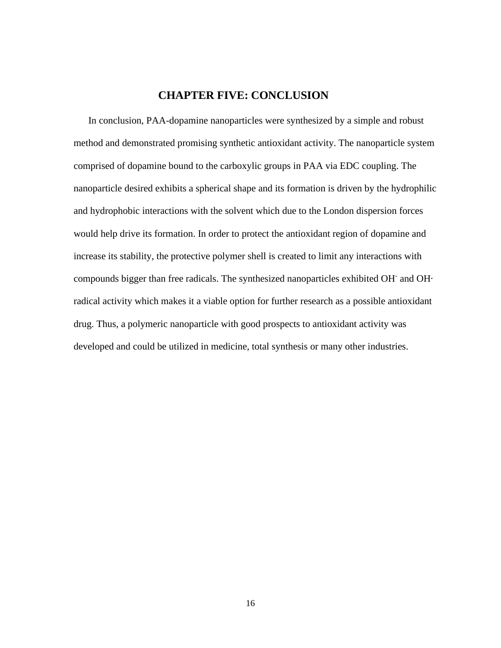### **CHAPTER FIVE: CONCLUSION**

<span id="page-19-0"></span>In conclusion, PAA-dopamine nanoparticles were synthesized by a simple and robust method and demonstrated promising synthetic antioxidant activity. The nanoparticle system comprised of dopamine bound to the carboxylic groups in PAA via EDC coupling. The nanoparticle desired exhibits a spherical shape and its formation is driven by the hydrophilic and hydrophobic interactions with the solvent which due to the London dispersion forces would help drive its formation. In order to protect the antioxidant region of dopamine and increase its stability, the protective polymer shell is created to limit any interactions with compounds bigger than free radicals. The synthesized nanoparticles exhibited OH-and OH· radical activity which makes it a viable option for further research as a possible antioxidant drug. Thus, a polymeric nanoparticle with good prospects to antioxidant activity was developed and could be utilized in medicine, total synthesis or many other industries.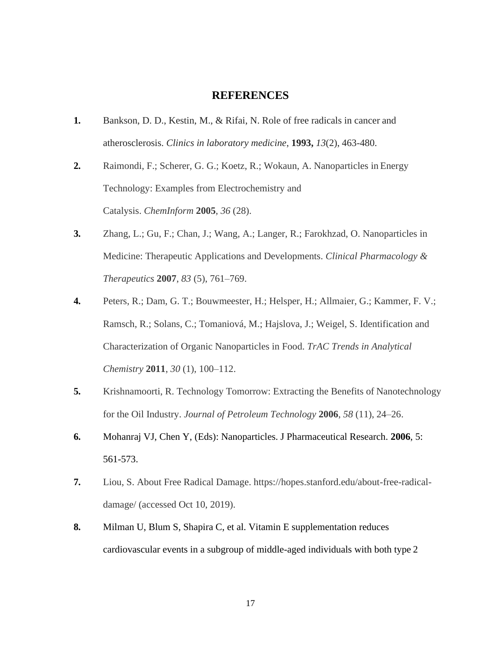### **REFERENCES**

- <span id="page-20-0"></span>**1.** Bankson, D. D., Kestin, M., & Rifai, N. Role of free radicals in cancer and atherosclerosis. *Clinics in laboratory medicine*, **1993,** *13*(2), 463-480.
- **2.** Raimondi, F.; Scherer, G. G.; Koetz, R.; Wokaun, A. Nanoparticles in Energy Technology: Examples from Electrochemistry and Catalysis. *ChemInform* **2005**, *36* (28).
- **3.** Zhang, L.; Gu, F.; Chan, J.; Wang, A.; Langer, R.; Farokhzad, O. Nanoparticles in Medicine: Therapeutic Applications and Developments. *Clinical Pharmacology & Therapeutics* **2007**, *83* (5), 761–769.
- **4.** Peters, R.; Dam, G. T.; Bouwmeester, H.; Helsper, H.; Allmaier, G.; Kammer, F. V.; Ramsch, R.; Solans, C.; Tomaniová, M.; Hajslova, J.; Weigel, S. Identification and Characterization of Organic Nanoparticles in Food. *TrAC Trends in Analytical Chemistry* **2011**, *30* (1), 100–112.
- **5.** Krishnamoorti, R. Technology Tomorrow: Extracting the Benefits of Nanotechnology for the Oil Industry. *Journal of Petroleum Technology* **2006**, *58* (11), 24–26.
- **6.** Mohanraj VJ, Chen Y, (Eds): Nanoparticles. J Pharmaceutical Research. **2006**, 5: 561-573.
- **7.** Liou, S. About Free Radical Damage. https://hopes.stanford.edu/about-free-radicaldamage/ (accessed Oct 10, 2019).
- **8.** Milman U, Blum S, Shapira C, et al. Vitamin E supplementation reduces cardiovascular events in a subgroup of middle-aged individuals with both type 2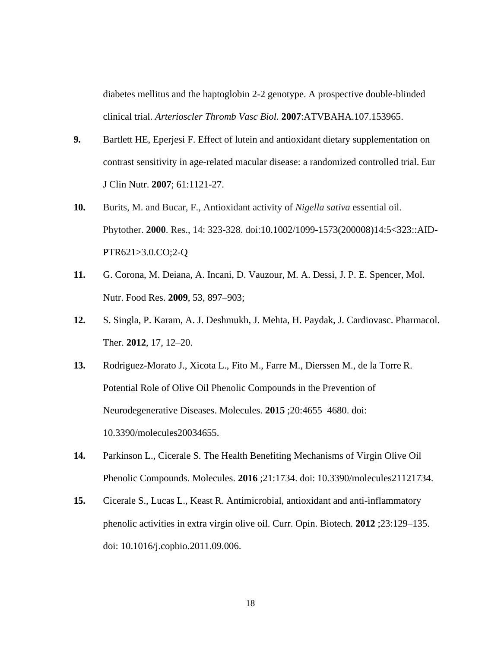diabetes mellitus and the haptoglobin 2-2 genotype. A prospective double-blinded clinical trial. *Arterioscler Thromb Vasc Biol.* **2007**:ATVBAHA.107.153965.

- **9.** Bartlett HE, Eperjesi F. Effect of lutein and antioxidant dietary supplementation on contrast sensitivity in age-related macular disease: a randomized controlled trial. Eur J Clin Nutr. **2007**; 61:1121-27.
- **10.** Burits, M. and Bucar, F., Antioxidant activity of *Nigella sativa* essential oil. Phytother. **2000**. Res., 14: 323-328. doi:10.1002/1099-1573(200008)14:5<323::AID-PTR621>3.0.CO;2-Q
- **11.** G. Corona, M. Deiana, A. Incani, D. Vauzour, M. A. Dessi, J. P. E. Spencer, Mol. Nutr. Food Res. **2009**, 53, 897–903;
- **12.** S. Singla, P. Karam, A. J. Deshmukh, J. Mehta, H. Paydak, J. Cardiovasc. Pharmacol. Ther. **2012**, 17, 12–20.
- **13.** Rodriguez-Morato J., Xicota L., Fito M., Farre M., Dierssen M., de la Torre R. Potential Role of Olive Oil Phenolic Compounds in the Prevention of Neurodegenerative Diseases. Molecules. **2015** ;20:4655–4680. doi: 10.3390/molecules20034655.
- **14.** Parkinson L., Cicerale S. The Health Benefiting Mechanisms of Virgin Olive Oil Phenolic Compounds. Molecules. **2016** ;21:1734. doi: 10.3390/molecules21121734.
- **15.** Cicerale S., Lucas L., Keast R. Antimicrobial, antioxidant and anti-inflammatory phenolic activities in extra virgin olive oil. Curr. Opin. Biotech. **2012** ;23:129–135. doi: 10.1016/j.copbio.2011.09.006.